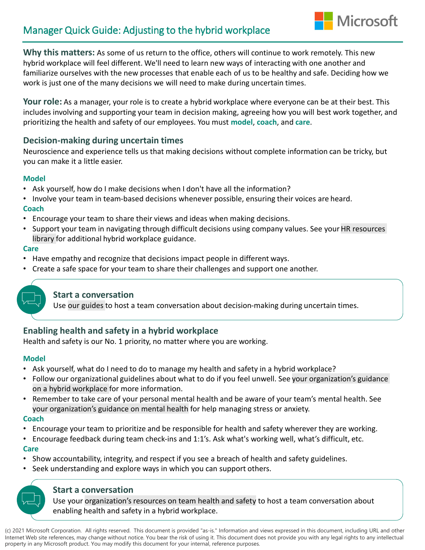# Manager Quick Guide: Adjusting to the hybrid workplace

**Why this matters:** As some of us return to the office, others will continue to work remotely. This new hybrid workplace will feel different. We'll need to learn new ways of interacting with one another and familiarize ourselves with the new processes that enable each of us to be healthy and safe. Deciding how we work is just one of the many decisions we will need to make during uncertain times.

**Microsoft** 

**Your role:** As a manager, your role is to create a hybrid workplace where everyone can be at their best. This includes involving and supporting your team in decision making, agreeing how you will best work together, and prioritizing the health and safety of our employees. You must **model**, **coach**, and **care**.

## **Decision-making during uncertain times**

Neuroscience and experience tells us that making decisions without complete information can be tricky, but you can make it a little easier.

### **Model**

- Ask yourself, how do I make decisions when I don't have all the information?
- Involve your team in team-based decisions whenever possible, ensuring their voices are heard. **Coach**
- Encourage your team to share their views and ideas when making decisions.
- Support your team in navigating through difficult decisions using company values. See your HR resources library for additional hybrid workplace guidance.

### **Care**

- Have empathy and recognize that decisions impact people in different ways.
- Create a safe space for your team to share their challenges and support one another.



# **Start a conversation**

Use our guides to host a team conversation about decision-making during uncertain times.

# **Enabling health and safety in a hybrid workplace**

Health and safety is our No. 1 priority, no matter where you are working.

### **Model**

- Ask yourself, what do I need to do to manage my health and safety in a hybrid workplace?
- Follow our organizational guidelines about what to do if you feel unwell. See your organization's guidance on a hybrid workplace for more information.
- Remember to take care of your personal mental health and be aware of your team's mental health. See your organization's guidance on mental health for help managing stress or anxiety.

### **Coach**

- Encourage your team to prioritize and be responsible for health and safety wherever they are working.
- Encourage feedback during team check-ins and 1:1's. Ask what's working well, what's difficult, etc. **Care**
- Show accountability, integrity, and respect if you see a breach of health and safety guidelines.
- Seek understanding and explore ways in which you can support others.

## **Start a conversation**

Use your organization's resources on team health and safety to host a team conversation about enabling health and safety in a hybrid workplace.

(c) 2021 Microsoft Corporation. All rights reserved. This document is provided "as-is." Information and views expressed in this document, including URL and other Internet Web site references, may change without notice. You bear the risk of using it. This document does not provide you with any legal rights to any intellectual property in any Microsoft product. You may modify this document for your internal, reference purposes.